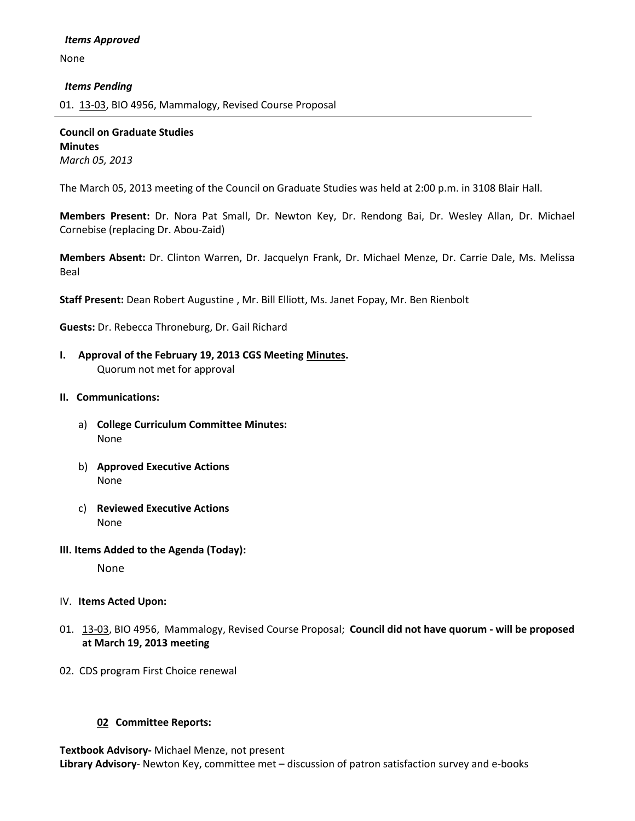None

### *Items Pending*

01. [13-03,](http://castle.eiu.edu/~eiucgs/currentagendaitems/agenda13-03.pdf) BIO 4956, Mammalogy, Revised Course Proposal

**Council on Graduate Studies Minutes** *March 05, 2013*

The March 05, 2013 meeting of the Council on Graduate Studies was held at 2:00 p.m. in 3108 Blair Hall.

**Members Present:** Dr. Nora Pat Small, Dr. Newton Key, Dr. Rendong Bai, Dr. Wesley Allan, Dr. Michael Cornebise (replacing Dr. Abou-Zaid)

**Members Absent:** Dr. Clinton Warren, Dr. Jacquelyn Frank, Dr. Michael Menze, Dr. Carrie Dale, Ms. Melissa Beal

**Staff Present:** Dean Robert Augustine , Mr. Bill Elliott, Ms. Janet Fopay, Mr. Ben Rienbolt

**Guests:** Dr. Rebecca Throneburg, Dr. Gail Richard

**I. Approval of the February 19, 2013 CGS Meeting [Minutes.](http://castle.eiu.edu/eiucgs/currentminutes/Minutes02-19-13.pdf)** Quorum not met for approval

### **II. Communications:**

- a) **College Curriculum Committee Minutes:** None
- b) **Approved Executive Actions** None
- c) **Reviewed Executive Actions** None
- **III. Items Added to the Agenda (Today):**

None

- IV. **Items Acted Upon:**
- 01. [13-03,](http://castle.eiu.edu/~eiucgs/currentagendaitems/agenda13-03.pdf) BIO 4956, Mammalogy, Revised Course Proposal; **Council did not have quorum - will be proposed at March 19, 2013 meeting**
- 02. CDS program First Choice renewal

# **02 Committee Reports:**

**Textbook Advisory-** Michael Menze, not present **Library Advisory**- Newton Key, committee met – discussion of patron satisfaction survey and e-books